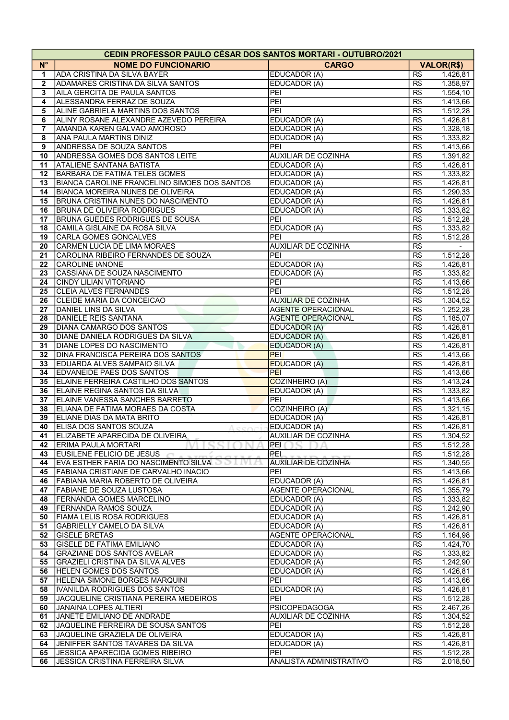| <b>CEDIN PROFESSOR PAULO CÉSAR DOS SANTOS MORTARI - OUTUBRO/2021</b> |                                              |                            |                  |                   |  |  |  |
|----------------------------------------------------------------------|----------------------------------------------|----------------------------|------------------|-------------------|--|--|--|
| $N^{\circ}$                                                          | <b>NOME DO FUNCIONARIO</b>                   | <b>CARGO</b>               |                  | <b>VALOR(R\$)</b> |  |  |  |
| 1                                                                    | <b>ADA CRISTINA DA SILVA BAYER</b>           | EDUCADOR (A)               | R\$              | 1.426,81          |  |  |  |
| $\mathbf{2}$                                                         | <b>ADAMARES CRISTINA DA SILVA SANTOS</b>     | EDUCADOR (A)               | R\$              | 1.358,97          |  |  |  |
| 3                                                                    | AILA GERCITA DE PAULA SANTOS                 | PEI                        | R\$              | 1.554,10          |  |  |  |
| 4                                                                    | ALESSANDRA FERRAZ DE SOUZA                   | PEI                        | R\$              | 1.413,66          |  |  |  |
| 5                                                                    | ALINE GABRIELA MARTINS DOS SANTOS            | PEI                        | R\$              | 1.512,28          |  |  |  |
| 6                                                                    | ALINY ROSANE ALEXANDRE AZEVEDO PEREIRA       | EDUCADOR (A)               | R\$              | 1.426,81          |  |  |  |
| 7                                                                    | AMANDA KAREN GALVAO AMOROSO                  | EDUCADOR (A)               | R\$              | 1.328,18          |  |  |  |
| 8                                                                    | <b>ANA PAULA MARTINS DINIZ</b>               | EDUCADOR (A)               | $\overline{R\$}$ | 1.333,82          |  |  |  |
| 9                                                                    | <b>ANDRESSA DE SOUZA SANTOS</b>              | PEI                        | R\$              | 1.413,66          |  |  |  |
| 10                                                                   | <b>ANDRESSA GOMES DOS SANTOS LEITE</b>       | <b>AUXILIAR DE COZINHA</b> | R\$              | 1.391,82          |  |  |  |
| 11                                                                   | <b>ATALIENE SANTANA BATISTA</b>              | EDUCADOR (A)               | R\$              | 1.426,81          |  |  |  |
| 12                                                                   | <b>BARBARA DE FATIMA TELES GOMES</b>         | EDUCADOR (A)               | R\$              | 1.333,82          |  |  |  |
| 13                                                                   | BIANCA CAROLINE FRANCELINO SIMOES DOS SANTOS | EDUCADOR (A)               | R\$              | 1.426,81          |  |  |  |
| 14                                                                   | <b>BIANCA MOREIRA NUNES DE OLIVEIRA</b>      | EDUCADOR (A)               | R\$              | 1.290,33          |  |  |  |
| 15                                                                   | BRUNA CRISTINA NUNES DO NASCIMENTO           | EDUCADOR (A)               | R\$              | 1.426,81          |  |  |  |
| 16                                                                   | <b>BRUNA DE OLIVEIRA RODRIGUES</b>           | EDUCADOR (A)               | R\$              | 1.333,82          |  |  |  |
| 17                                                                   | BRUNA GUEDES RODRIGUES DE SOUSA              | PEI                        | R\$              | 1.512,28          |  |  |  |
| 18                                                                   | CAMILA GISLAINE DA ROSA SILVA                | EDUCADOR (A)               | $\overline{R\$}$ | 1.333,82          |  |  |  |
| 19                                                                   | CARLA GOMES GONCALVES                        | PEI                        | R\$              | 1.512,28          |  |  |  |
| 20                                                                   | CARMEN LUCIA DE LIMA MORAES                  | <b>AUXILIAR DE COZINHA</b> | R\$              |                   |  |  |  |
| 21                                                                   | CAROLINA RIBEIRO FERNANDES DE SOUZA          | PEI                        | R\$              | 1.512,28          |  |  |  |
| 22                                                                   | <b>CAROLINE IANONE</b>                       | EDUCADOR (A)               | $\overline{R\$}$ | 1.426, 81         |  |  |  |
| 23                                                                   | CASSIANA DE SOUZA NASCIMENTO                 | EDUCADOR (A)               | R\$              | 1.333,82          |  |  |  |
| 24                                                                   | <b>CINDY LILIAN VITORIANO</b>                | PEI                        | R\$              | 1.413,66          |  |  |  |
| 25                                                                   | <b>CLEIA ALVES FERNANDES</b>                 | PEI                        | R\$              | 1.512,28          |  |  |  |
| 26                                                                   | CLEIDE MARIA DA CONCEICAO                    | <b>AUXILIAR DE COZINHA</b> | R\$              | 1.304,52          |  |  |  |
| 27                                                                   | <b>DANIEL LINS DA SILVA</b>                  | <b>AGENTE OPERACIONAL</b>  | R\$              | 1.252,28          |  |  |  |
| 28                                                                   | DANIELE REIS SANTANA                         | <b>AGENTE OPERACIONAL</b>  | R\$              | 1.185,07          |  |  |  |
| 29                                                                   | DIANA CAMARGO DOS SANTOS                     | EDUCADOR (A)               | R\$              | 1.426,81          |  |  |  |
| 30                                                                   | DIANE DANIELA RODRIGUES DA SILVA             | EDUCADOR (A)               | R\$              | 1.426,81          |  |  |  |
| 31                                                                   | <b>DIANE LOPES DO NASCIMENTO</b>             | EDUCADOR (A)               | R\$              | 1.426,81          |  |  |  |
| 32                                                                   | <b>DINA FRANCISCA PEREIRA DOS SANTOS</b>     | <b>PEI</b>                 | R\$              | 1.413,66          |  |  |  |
| 33                                                                   | <b>EDUARDA ALVES SAMPAIO SILVA</b>           | <b>EDUCADOR (A)</b>        | R\$              | 1.426,81          |  |  |  |
| 34                                                                   | <b>EDVANEIDE PAES DOS SANTOS</b>             | PEI                        | R\$              | 1.413,66          |  |  |  |
| 35                                                                   | ELAINE FERREIRA CASTILHO DOS SANTOS          | COZINHEIRO (A)             | R\$              | 1.413,24          |  |  |  |
| 36                                                                   | ELAINE REGINA SANTOS DA SILVA                | EDUCADOR (A)               | R\$              | 1.333,82          |  |  |  |
| 37                                                                   | ELAINE VANESSA SANCHES BARRETO               | PEI                        | R\$              | 1.413,66          |  |  |  |
| 38                                                                   | ELIANA DE FATIMA MORAES DA COSTA             | COZINHEIRO (A)             | R\$              | 1.321,15          |  |  |  |
| 39                                                                   | ELIANE DIAS DA MATA BRITO                    | EDUCADOR (A)               | R\$              | 1.426,81          |  |  |  |
| 40                                                                   | <b>ELISA DOS SANTOS SOUZA</b>                | EDUCADOR (A)               | R\$              | 1.426,81          |  |  |  |
| 41                                                                   | JELIZABETE APARECIDA DE OLIVEIRA             | AUXILIAR DE COZINHA        | R\$              | 1.304,52          |  |  |  |
| 42                                                                   | <b>ERIMA PAULA MORTARI</b>                   | PEI                        | R\$              | 1.512,28          |  |  |  |
| 43                                                                   | EUSILENE FELICIO DE JESUS                    | PEI                        | R\$              | 1.512,28          |  |  |  |
| 44                                                                   | EVA ESTHER FARIA DO NASCIMENTO SILVA         | <b>AUXILIAR DE COZINHA</b> | R\$              | 1.340,55          |  |  |  |
| 45                                                                   | FABIANA CRISTIANE DE CARVALHO INACIO         | PEI                        | R\$              | 1.413,66          |  |  |  |
| 46                                                                   | FABIANA MARIA ROBERTO DE OLIVEIRA            | EDUCADOR (A)               | R\$              | 1.426,81          |  |  |  |
| 47                                                                   | <b>FABIANE DE SOUZA LUSTOSA</b>              | <b>AGENTE OPERACIONAL</b>  | R\$              | 1.355,79          |  |  |  |
| 48                                                                   | <b>IFERNANDA GOMES MARCELINO</b>             | EDUCADOR (A)               | R\$              | 1.333,82          |  |  |  |
| 49                                                                   | <b>FERNANDA RAMOS SOUZA</b>                  | EDUCADOR (A)               | R\$              | 1.242,90          |  |  |  |
| 50                                                                   | <b>FIAMA LELIS ROSA RODRIGUES</b>            | EDUCADOR (A)               | R\$              | 1.426,81          |  |  |  |
| 51                                                                   | <b>GABRIELLY CAMELO DA SILVA</b>             | EDUCADOR (A)               | R\$              | 1.426,81          |  |  |  |
| 52                                                                   | <b>GISELE BRETAS</b>                         | <b>AGENTE OPERACIONAL</b>  | R\$              | 1.164,98          |  |  |  |
| 53                                                                   | <b>GISELE DE FATIMA EMILIANO</b>             | EDUCADOR (A)               | R\$              | 1.424,70          |  |  |  |
| 54                                                                   | GRAZIANE DOS SANTOS AVELAR                   | EDUCADOR (A)               | R\$              | 1.333,82          |  |  |  |
| 55                                                                   | GRAZIELI CRISTINA DA SILVA ALVES             | EDUCADOR (A)               | R\$              | 1.242,90          |  |  |  |
| 56                                                                   | <b>HELEN GOMES DOS SANTOS</b>                | EDUCADOR (A)               | R\$              | 1.426,81          |  |  |  |
| 57                                                                   | HELENA SIMONE BORGES MARQUINI                | PEI                        | R\$              | 1.413,66          |  |  |  |
| 58                                                                   | IVANILDA RODRIGUES DOS SANTOS                | EDUCADOR (A)               | R\$              | 1.426,81          |  |  |  |
| 59                                                                   | JACQUELINE CRISTIANA PEREIRA MEDEIROS        | PEI                        | R\$              | 1.512,28          |  |  |  |
| 60                                                                   | JANAINA LOPES ALTIERI                        | <b>PSICOPEDAGOGA</b>       | R\$              | 2.467,26          |  |  |  |
| 61                                                                   | JANETE EMILIANO DE ANDRADE                   | <b>AUXILIAR DE COZINHA</b> | R\$              | 1.304,52          |  |  |  |
| 62                                                                   | JAQUELINE FERREIRA DE SOUSA SANTOS           | PEI                        | R\$              | 1.512,28          |  |  |  |
| 63                                                                   | JAQUELINE GRAZIELA DE OLIVEIRA               | EDUCADOR (A)               | R\$              | 1.426,81          |  |  |  |
| 64                                                                   | JENIFFER SANTOS TAVARES DA SILVA             | EDUCADOR (A)               | R\$              | 1.426,81          |  |  |  |
| 65                                                                   | <b>JESSICA APARECIDA GOMES RIBEIRO</b>       | PEI                        | R\$              | 1.512,28          |  |  |  |
| 66                                                                   | <b>JESSICA CRISTINA FERREIRA SILVA</b>       | ANALISTA ADMINISTRATIVO    | R\$              | 2.018,50          |  |  |  |